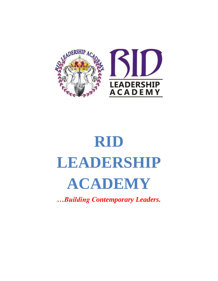

# **RID LEADERSHIP ACADEMY**

*…Building Contemporary Leaders.*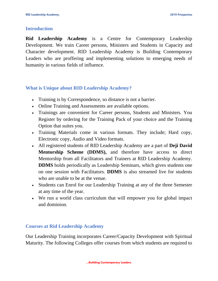#### **Introduction**

**Rid Leadership Academy** is a Centre for Contemporary Leadership Development. We train Career persons, Ministers and Students in Capacity and Character development. RID Leadership Academy is Building Contemporary Leaders who are proffering and implementing solutions to emerging needs of humanity in various fields of influence.

## **What is Unique about RID Leadership Academy?**

- Training is by Correspondence, so distance is not a barrier.
- Online Training and Assessments are available options.
- Trainings are convenient for Career persons, Students and Ministers. You Register by ordering for the Training Pack of your choice and the Training Option that suites you.
- Training Materials come in various formats. They include; Hard copy, Electronic copy, Audio and Video formats.
- All registered students of RID Leadership Academy are a part of **Deji David Mentorship Scheme (DDMS),** and therefore have access to direct Mentorship from all Facilitators and Trainers at RID Leadership Academy. **DDMS** holds periodically as Leadership Seminars, which gives students one on one session with Facilitators. **DDMS** is also streamed live for students who are unable to be at the venue.
- Students can Enrol for our Leadership Training at any of the three Semester at any time of the year.
- We run a world class curriculum that will empower you for global impact and dominion.

## **Courses at Rid Leadership Academy**

Our Leadership Training incorporates Career/Capacity Development with Spiritual Maturity. The following Colleges offer courses from which students are required to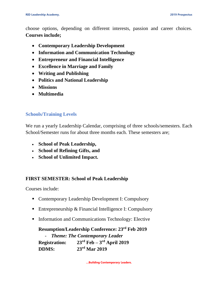choose options, depending on different interests, passion and career choices. **Courses include;**

- **Contemporary Leadership Development**
- **Information and Communication Technology**
- **Entrepreneur and Financial Intelligence**
- **Excellence in Marriage and Family**
- **Writing and Publishing**
- **Politics and National Leadership**
- **Missions**
- **Multimedia**

## **Schools/Training Levels**

We run a yearly Leadership Calendar, comprising of three schools/semesters. Each School/Semester runs for about three months each. These semesters are;

- **School of Peak Leadership,**
- **School of Refining Gifts, and**
- **School of Unlimited Impact.**

## **FIRST SEMESTER: School of Peak Leadership**

Courses include:

- Contemporary Leadership Development I: Compulsory
- Entrepreneurship  $& Financial Intelligence$  I: Compulsory
- **Information and Communications Technology: Elective**

## **Resumption/Leadership Conference: 23rd Feb 2019**

- *Theme: The Contemporary Leader*  $\mathbf{Resistration:}$  $23<sup>rd</sup>$  **Feb** –  $3<sup>rd</sup>$  **April 2019 DDMS: 23rd Mar 2019**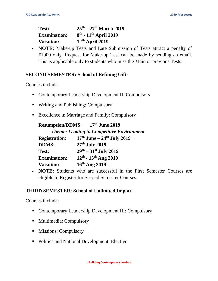| Test:               | $25^{\text{th}} - 27^{\text{th}}$ March 2019 |
|---------------------|----------------------------------------------|
| <b>Examination:</b> | $8^{th}$ - $11^{th}$ April 2019              |
| <b>Vacation:</b>    | $12th$ April 2019                            |

• **NOTE:** Make-up Tests and Late Submission of Tests attract a penalty of #1000 only. Request for Make-up Test can be made by sending an email. This is applicable only to students who miss the Main or previous Tests.

## **SECOND SEMESTER: School of Refining Gifts**

Courses include:

- Contemporary Leadership Development II: Compulsory
- Writing and Publishing: Compulsory
- Excellence in Marriage and Family: Compulsory

| <b>Resumption/DDMS:</b> | $17th$ June 2019 |
|-------------------------|------------------|
|-------------------------|------------------|

|                      | - Theme: Leading in Competitive Environment |
|----------------------|---------------------------------------------|
| <b>Registration:</b> | $17th$ June – $24th$ July 2019              |
| <b>DDMS:</b>         | 27 <sup>th</sup> July 2019                  |
| Test:                | $29^{th} - 31^{st}$ July 2019               |
| <b>Examination:</b>  | $12^{th}$ - $15^{th}$ Aug 2019              |
| <b>Vacation:</b>     | $16th$ Aug 2019                             |

 **NOTE:** Students who are successful in the First Semester Courses are eligible to Register for Second Semester Courses.

# **THIRD SEMESTER: School of Unlimited Impact**

Courses include:

- Contemporary Leadership Development III: Compulsory
- Multimedia: Compulsory
- **Missions: Compulsory**
- Politics and National Development: Elective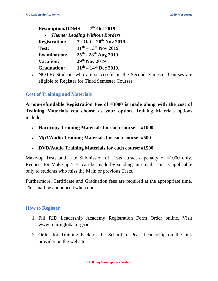| <b>Resumption/DDMS:</b> | $7th$ Oct 2019                              |
|-------------------------|---------------------------------------------|
|                         | <b>Theme: Leading Without Borders</b>       |
| <b>Registration:</b>    | $7th$ Oct – $20th$ Nov 2019                 |
| <b>Test:</b>            | $11^{th} - 13^{th}$ Nov 2019                |
| <b>Examination:</b>     | $25^{th}$ - $28^{th}$ Aug 2019              |
| <b>Vacation:</b>        | 29th Nov 2019                               |
| <b>Graduation:</b>      | $11^{\text{th}} - 14^{\text{th}}$ Dec 2019. |

• **NOTE:** Students who are successful in the Second Semester Courses are eligible to Register for Third Semester Courses.

#### **Cost of Training and Materials**

**A non-refundable Registration Fee of #3000 is made along with the cost of Training Materials you choose as your option.** Training Materials options include;

- **Hardcopy Training Materials for each course: #1000**
- **Mp3/Audio Training Materials for each course: #500**
- **DVD/Audio Training Materials for each course:#1500**

Make-up Tests and Late Submission of Tests attract a penalty of #1000 only. Request for Make-up Test can be made by sending an email. This is applicable only to students who miss the Main or previous Tests.

Furthermore, Certificate and Graduation fees are required at the appropriate time. This shall be announced when due.

#### **How to Register**

- 1. Fill RID Leadership Academy Registration Form Order online. Visit [www.returnglobal.org/rid:](http://www.returnglobal.org/rid)
- 2. Order for Training Pack of the School of Peak Leadership on the link provider on the website.